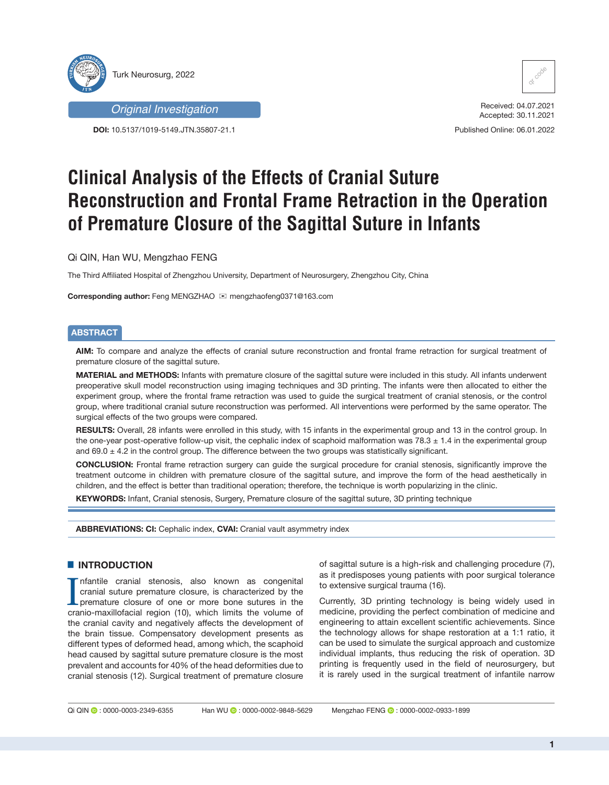



**DOI:** 10.5137/1019-5149.JTN.35807-21.1



Received: 04.07.2021 Accepted: 30.11.2021

Published Online: 06.01.2022

# **Clinical Analysis of the Effects of Cranial Suture Reconstruction and Frontal Frame Retraction in the Operation of Premature Closure of the Sagittal Suture in Infants**

Qi QIN, Han WU, Mengzhao FENG

The Third Affiliated Hospital of Zhengzhou University, Department of Neurosurgery, Zhengzhou City, China

**Corresponding author:** Feng MENGZHAO  $\otimes$  mengzhaofeng0371@163.com

# **ABSTRACT**

**AIM:** To compare and analyze the effects of cranial suture reconstruction and frontal frame retraction for surgical treatment of premature closure of the sagittal suture.

**MATERIAL and METHODS:** Infants with premature closure of the sagittal suture were included in this study. All infants underwent preoperative skull model reconstruction using imaging techniques and 3D printing. The infants were then allocated to either the experiment group, where the frontal frame retraction was used to guide the surgical treatment of cranial stenosis, or the control group, where traditional cranial suture reconstruction was performed. All interventions were performed by the same operator. The surgical effects of the two groups were compared.

**RESULTS:** Overall, 28 infants were enrolled in this study, with 15 infants in the experimental group and 13 in the control group. In the one-year post-operative follow-up visit, the cephalic index of scaphoid malformation was  $78.3 \pm 1.4$  in the experimental group and  $69.0 \pm 4.2$  in the control group. The difference between the two groups was statistically significant.

**CONCLUSION:** Frontal frame retraction surgery can guide the surgical procedure for cranial stenosis, significantly improve the treatment outcome in children with premature closure of the sagittal suture, and improve the form of the head aesthetically in children, and the effect is better than traditional operation; therefore, the technique is worth popularizing in the clinic.

**KEYWORDS:** Infant, Cranial stenosis, Surgery, Premature closure of the sagittal suture, 3D printing technique

**ABBREVIATIONS: CI:** Cephalic index, **CVAI:** Cranial vault asymmetry index

# █ **INTRODUCTION**

Infantile cranial stenosis, also known as congenital cranial suture premature closure, is characterized by the premature closure of one or more bone sutures in the cranio-maxillofacial region (10), which limits the volume nfantile cranial stenosis, also known as congenital cranial suture premature closure, is characterized by the premature closure of one or more bone sutures in the the cranial cavity and negatively affects the development of the brain tissue. Compensatory development presents as different types of deformed head, among which, the scaphoid head caused by sagittal suture premature closure is the most prevalent and accounts for 40% of the head deformities due to cranial stenosis (12). Surgical treatment of premature closure

of sagittal suture is a high-risk and challenging procedure (7), as it predisposes young patients with poor surgical tolerance to extensive surgical trauma (16).

Currently, 3D printing technology is being widely used in medicine, providing the perfect combination of medicine and engineering to attain excellent scientific achievements. Since the technology allows for shape restoration at a 1:1 ratio, it can be used to simulate the surgical approach and customize individual implants, thus reducing the risk of operation. 3D printing is frequently used in the field of neurosurgery, but it is rarely used in the surgical treatment of infantile narrow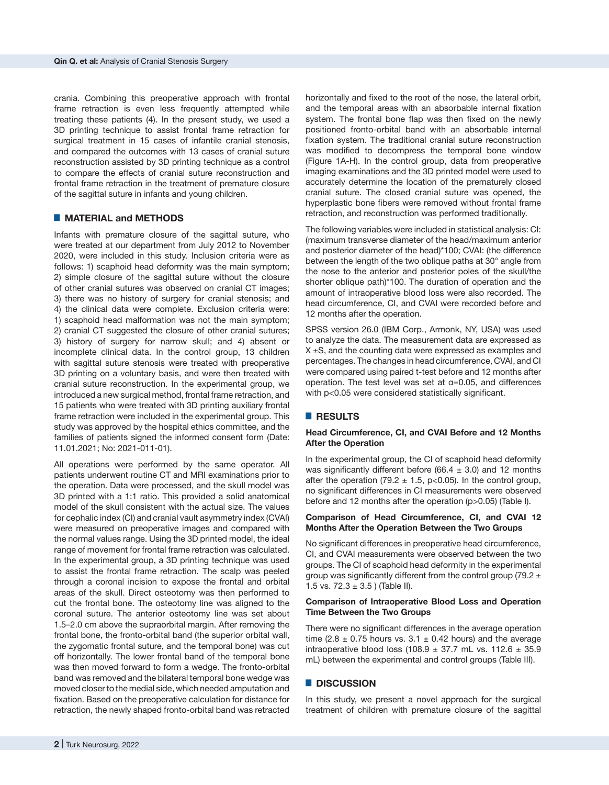crania. Combining this preoperative approach with frontal frame retraction is even less frequently attempted while treating these patients (4). In the present study, we used a 3D printing technique to assist frontal frame retraction for surgical treatment in 15 cases of infantile cranial stenosis, and compared the outcomes with 13 cases of cranial suture reconstruction assisted by 3D printing technique as a control to compare the effects of cranial suture reconstruction and frontal frame retraction in the treatment of premature closure of the sagittal suture in infants and young children.

### █ **MATERIAL and METHODS**

Infants with premature closure of the sagittal suture, who were treated at our department from July 2012 to November 2020, were included in this study. Inclusion criteria were as follows: 1) scaphoid head deformity was the main symptom; 2) simple closure of the sagittal suture without the closure of other cranial sutures was observed on cranial CT images; 3) there was no history of surgery for cranial stenosis; and 4) the clinical data were complete. Exclusion criteria were: 1) scaphoid head malformation was not the main symptom; 2) cranial CT suggested the closure of other cranial sutures; 3) history of surgery for narrow skull; and 4) absent or incomplete clinical data. In the control group, 13 children with sagittal suture stenosis were treated with preoperative 3D printing on a voluntary basis, and were then treated with cranial suture reconstruction. In the experimental group, we introduced a new surgical method, frontal frame retraction, and 15 patients who were treated with 3D printing auxiliary frontal frame retraction were included in the experimental group. This study was approved by the hospital ethics committee, and the families of patients signed the informed consent form (Date: 11.01.2021; No: 2021-011-01).

All operations were performed by the same operator. All patients underwent routine CT and MRI examinations prior to the operation. Data were processed, and the skull model was 3D printed with a 1:1 ratio. This provided a solid anatomical model of the skull consistent with the actual size. The values for cephalic index (CI) and cranial vault asymmetry index (CVAI) were measured on preoperative images and compared with the normal values range. Using the 3D printed model, the ideal range of movement for frontal frame retraction was calculated. In the experimental group, a 3D printing technique was used to assist the frontal frame retraction. The scalp was peeled through a coronal incision to expose the frontal and orbital areas of the skull. Direct osteotomy was then performed to cut the frontal bone. The osteotomy line was aligned to the coronal suture. The anterior osteotomy line was set about 1.5–2.0 cm above the supraorbital margin. After removing the frontal bone, the fronto-orbital band (the superior orbital wall, the zygomatic frontal suture, and the temporal bone) was cut off horizontally. The lower frontal band of the temporal bone was then moved forward to form a wedge. The fronto-orbital band was removed and the bilateral temporal bone wedge was moved closer to the medial side, which needed amputation and fixation. Based on the preoperative calculation for distance for retraction, the newly shaped fronto-orbital band was retracted

horizontally and fixed to the root of the nose, the lateral orbit, and the temporal areas with an absorbable internal fixation system. The frontal bone flap was then fixed on the newly positioned fronto-orbital band with an absorbable internal fixation system. The traditional cranial suture reconstruction was modified to decompress the temporal bone window (Figure 1A-H). In the control group, data from preoperative imaging examinations and the 3D printed model were used to accurately determine the location of the prematurely closed cranial suture. The closed cranial suture was opened, the hyperplastic bone fibers were removed without frontal frame retraction, and reconstruction was performed traditionally.

The following variables were included in statistical analysis: CI: (maximum transverse diameter of the head/maximum anterior and posterior diameter of the head)\*100; CVAI: (the difference between the length of the two oblique paths at 30° angle from the nose to the anterior and posterior poles of the skull/the shorter oblique path)\*100. The duration of operation and the amount of intraoperative blood loss were also recorded. The head circumference, CI, and CVAI were recorded before and 12 months after the operation.

SPSS version 26.0 (IBM Corp., Armonk, NY, USA) was used to analyze the data. The measurement data are expressed as  $X \pm S$ , and the counting data were expressed as examples and percentages. The changes in head circumference, CVAI, and CI were compared using paired t-test before and 12 months after operation. The test level was set at α=0.05, and differences with p<0.05 were considered statistically significant.

# █ **RESULTS**

# **Head Circumference, CI, and CVAI Before and 12 Months After the Operation**

In the experimental group, the CI of scaphoid head deformity was significantly different before (66.4  $\pm$  3.0) and 12 months after the operation (79.2  $\pm$  1.5, p<0.05). In the control group, no significant differences in CI measurements were observed before and 12 months after the operation (p>0.05) (Table I).

#### **Comparison of Head Circumference, CI, and CVAI 12 Months After the Operation Between the Two Groups**

No significant differences in preoperative head circumference, CI, and CVAI measurements were observed between the two groups. The CI of scaphoid head deformity in the experimental group was significantly different from the control group (79.2  $\pm$ 1.5 vs.  $72.3 \pm 3.5$  ) (Table II).

#### **Comparison of Intraoperative Blood Loss and Operation Time Between the Two Groups**

There were no significant differences in the average operation time (2.8  $\pm$  0.75 hours vs. 3.1  $\pm$  0.42 hours) and the average intraoperative blood loss (108.9  $\pm$  37.7 mL vs. 112.6  $\pm$  35.9 mL) between the experimental and control groups (Table III).

# █ **DISCUSSION**

In this study, we present a novel approach for the surgical treatment of children with premature closure of the sagittal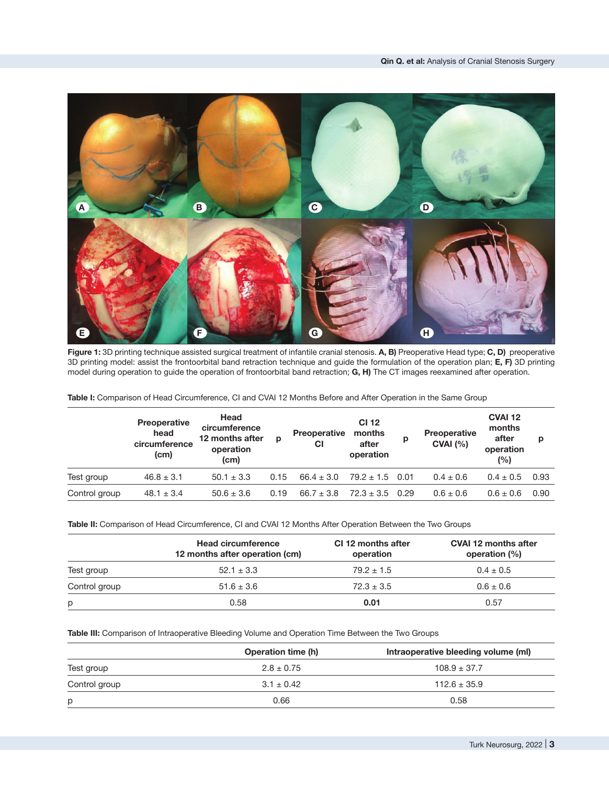

**Figure 1:** 3D printing technique assisted surgical treatment of infantile cranial stenosis. **A, B)** Preoperative Head type; **C, D)** preoperative 3D printing model: assist the frontoorbital band retraction technique and guide the formulation of the operation plan; **E, F)** 3D printing model during operation to guide the operation of frontoorbital band retraction; **G, H)** The CT images reexamined after operation.

**Table I:** Comparison of Head Circumference, CI and CVAI 12 Months Before and After Operation in the Same Group

|               | Preoperative<br>head<br>circumference<br>(cm) | Head<br>circumference<br>12 months after<br>operation<br>(cm) | р    | <b>Preoperative</b><br>СI | <b>CI 12</b><br>months<br>after<br>operation | p | Preoperative<br>CVAI (%) | <b>CVAI 12</b><br>months<br>after<br>operation<br>(%) | р    |
|---------------|-----------------------------------------------|---------------------------------------------------------------|------|---------------------------|----------------------------------------------|---|--------------------------|-------------------------------------------------------|------|
| Test group    | $46.8 \pm 3.1$                                | $50.1 \pm 3.3$                                                | 0.15 | $66.4 \pm 3.0$            | $79.2 \pm 1.5$ 0.01                          |   | $0.4 \pm 0.6$            | $0.4 \pm 0.5$                                         | 0.93 |
| Control group | $48.1 \pm 3.4$                                | $50.6 \pm 3.6$                                                | 0.19 | $66.7 \pm 3.8$            | $72.3 \pm 3.5$ 0.29                          |   | $0.6 \pm 0.6$            | $0.6 \pm 0.6$                                         | 0.90 |

**Table II:** Comparison of Head Circumference, CI and CVAI 12 Months After Operation Between the Two Groups

|               | <b>Head circumference</b><br>12 months after operation (cm) | CI 12 months after<br>operation | <b>CVAI 12 months after</b><br>operation (%) |  |
|---------------|-------------------------------------------------------------|---------------------------------|----------------------------------------------|--|
| Test group    | $52.1 \pm 3.3$                                              | $79.2 \pm 1.5$                  | $0.4 \pm 0.5$                                |  |
| Control group | $51.6 \pm 3.6$                                              | $72.3 \pm 3.5$                  | $0.6 \pm 0.6$                                |  |
| 0.58<br>p     |                                                             | 0.01                            | 0.57                                         |  |

**Table III:** Comparison of Intraoperative Bleeding Volume and Operation Time Between the Two Groups

|               | <b>Operation time (h)</b> | Intraoperative bleeding volume (ml) |  |  |
|---------------|---------------------------|-------------------------------------|--|--|
| Test group    | $2.8 \pm 0.75$            | $108.9 \pm 37.7$                    |  |  |
| Control group | $3.1 \pm 0.42$            | $112.6 \pm 35.9$                    |  |  |
| p             | 0.66                      | 0.58                                |  |  |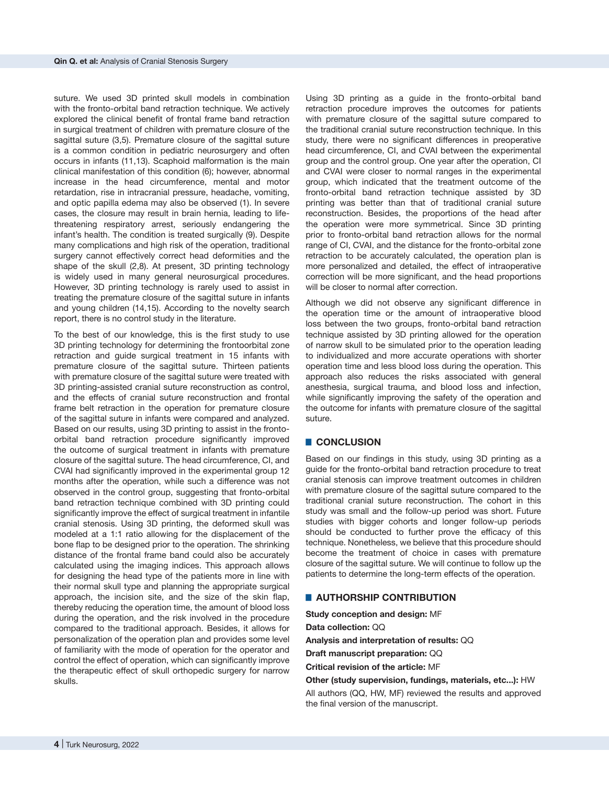suture. We used 3D printed skull models in combination with the fronto-orbital band retraction technique. We actively explored the clinical benefit of frontal frame band retraction in surgical treatment of children with premature closure of the sagittal suture (3,5). Premature closure of the sagittal suture is a common condition in pediatric neurosurgery and often occurs in infants (11,13). Scaphoid malformation is the main clinical manifestation of this condition (6); however, abnormal increase in the head circumference, mental and motor retardation, rise in intracranial pressure, headache, vomiting, and optic papilla edema may also be observed (1). In severe cases, the closure may result in brain hernia, leading to lifethreatening respiratory arrest, seriously endangering the infant's health. The condition is treated surgically (9). Despite many complications and high risk of the operation, traditional surgery cannot effectively correct head deformities and the shape of the skull (2,8). At present, 3D printing technology is widely used in many general neurosurgical procedures. However, 3D printing technology is rarely used to assist in treating the premature closure of the sagittal suture in infants and young children (14,15). According to the novelty search report, there is no control study in the literature.

To the best of our knowledge, this is the first study to use 3D printing technology for determining the frontoorbital zone retraction and guide surgical treatment in 15 infants with premature closure of the sagittal suture. Thirteen patients with premature closure of the sagittal suture were treated with 3D printing-assisted cranial suture reconstruction as control, and the effects of cranial suture reconstruction and frontal frame belt retraction in the operation for premature closure of the sagittal suture in infants were compared and analyzed. Based on our results, using 3D printing to assist in the frontoorbital band retraction procedure significantly improved the outcome of surgical treatment in infants with premature closure of the sagittal suture. The head circumference, CI, and CVAI had significantly improved in the experimental group 12 months after the operation, while such a difference was not observed in the control group, suggesting that fronto-orbital band retraction technique combined with 3D printing could significantly improve the effect of surgical treatment in infantile cranial stenosis. Using 3D printing, the deformed skull was modeled at a 1:1 ratio allowing for the displacement of the bone flap to be designed prior to the operation. The shrinking distance of the frontal frame band could also be accurately calculated using the imaging indices. This approach allows for designing the head type of the patients more in line with their normal skull type and planning the appropriate surgical approach, the incision site, and the size of the skin flap, thereby reducing the operation time, the amount of blood loss during the operation, and the risk involved in the procedure compared to the traditional approach. Besides, it allows for personalization of the operation plan and provides some level of familiarity with the mode of operation for the operator and control the effect of operation, which can significantly improve the therapeutic effect of skull orthopedic surgery for narrow skulls.

Using 3D printing as a guide in the fronto-orbital band retraction procedure improves the outcomes for patients with premature closure of the sagittal suture compared to the traditional cranial suture reconstruction technique. In this study, there were no significant differences in preoperative head circumference, CI, and CVAI between the experimental group and the control group. One year after the operation, CI and CVAI were closer to normal ranges in the experimental group, which indicated that the treatment outcome of the fronto-orbital band retraction technique assisted by 3D printing was better than that of traditional cranial suture reconstruction. Besides, the proportions of the head after the operation were more symmetrical. Since 3D printing prior to fronto-orbital band retraction allows for the normal range of CI, CVAI, and the distance for the fronto-orbital zone retraction to be accurately calculated, the operation plan is more personalized and detailed, the effect of intraoperative correction will be more significant, and the head proportions will be closer to normal after correction.

Although we did not observe any significant difference in the operation time or the amount of intraoperative blood loss between the two groups, fronto-orbital band retraction technique assisted by 3D printing allowed for the operation of narrow skull to be simulated prior to the operation leading to individualized and more accurate operations with shorter operation time and less blood loss during the operation. This approach also reduces the risks associated with general anesthesia, surgical trauma, and blood loss and infection, while significantly improving the safety of the operation and the outcome for infants with premature closure of the sagittal suture.

# █ **CONCLUSION**

Based on our findings in this study, using 3D printing as a guide for the fronto-orbital band retraction procedure to treat cranial stenosis can improve treatment outcomes in children with premature closure of the sagittal suture compared to the traditional cranial suture reconstruction. The cohort in this study was small and the follow-up period was short. Future studies with bigger cohorts and longer follow-up periods should be conducted to further prove the efficacy of this technique. Nonetheless, we believe that this procedure should become the treatment of choice in cases with premature closure of the sagittal suture. We will continue to follow up the patients to determine the long-term effects of the operation.

#### █ **AUTHORSHIP CONTRIBUTION**

**Study conception and design:** MF

**Data collection:** QQ

**Analysis and interpretation of results:** QQ

**Draft manuscript preparation:** QQ

**Critical revision of the article:** MF

**Other (study supervision, fundings, materials, etc...):** HW All authors (QQ, HW, MF) reviewed the results and approved the final version of the manuscript.